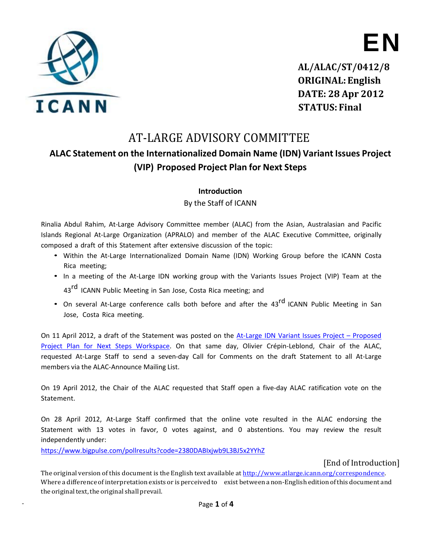

**EN**

**AL/ALAC/ST/0412/8 ORIGINAL:English DATE: 28 Apr 2012 STATUS: Final**

# AT-LARGE ADVISORY COMMITTEE

# **ALAC Statement on the Internationalized Domain Name (IDN) Variant Issues Project (VIP) Proposed Project Plan for Next Steps**

### **Introduction**

By the Staff of ICANN

Rinalia Abdul Rahim, At-Large Advisory Committee member (ALAC) from the Asian, Australasian and Pacific Islands Regional At-Large Organization (APRALO) and member of the ALAC Executive Committee, originally composed a draft of this Statement after extensive discussion of the topic:

- Within the At-Large Internationalized Domain Name (IDN) Working Group before the ICANN Costa Rica meeting;
- In a meeting of the At-Large IDN working group with the Variants Issues Project (VIP) Team at the 43<sup>rd</sup> ICANN Public Meeting in San Jose, Costa Rica meeting; and
- On several At-Large conference calls both before and after the 43<sup>rd</sup> ICANN Public Meeting in San Jose, Costa Rica meeting.

On 11 April 2012, a draft of the Statement was posted on the At-Large IDN Variant Issues Project – [Proposed](https://community.icann.org/pages/viewpage.action?pageId=31170446) Project Plan for Next Steps [Workspace.](https://community.icann.org/pages/viewpage.action?pageId=31170446) On that same day, Olivier Crépin‐Leblond, Chair of the ALAC, requested At-Large Staff to send a seven-day Call for Comments on the draft Statement to all At-Large members via the ALAC‐Announce Mailing List.

On 19 April 2012, the Chair of the ALAC requested that Staff open a five-day ALAC ratification vote on the Statement.

On 28 April 2012, At-Large Staff confirmed that the online vote resulted in the ALAC endorsing the Statement with 13 votes in favor, 0 votes against, and 0 abstentions. You may review the result independently under:

https:/[/www.bigpulse.com/pollresults?code=2380DABIxjwb9L3BJ5x2YYhZ](http://www.bigpulse.com/pollresults?code=2380DABIxjwb9L3BJ5x2YYhZ)

[End of Introduction]

The original version of this document is the English text available at [http://www.atlarge.icann.org/correspondence.](http://www.atlarge.icann.org/correspondence) Where a difference ofinterpretation exists or is perceived to exist between anon-English edition ofthis document and the original text, the original shall prevail.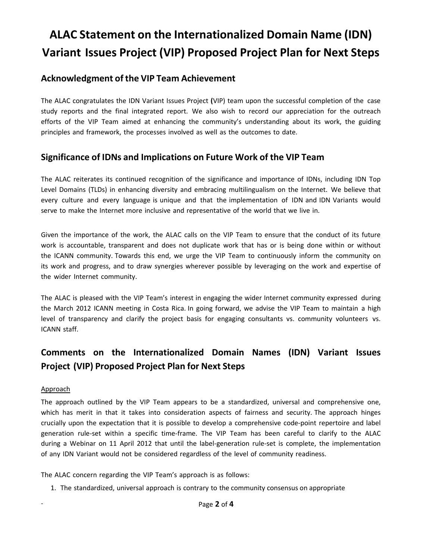# **ALAC Statement on the Internationalized Domain Name (IDN) Variant Issues Project (VIP) Proposed Project Plan for Next Steps**

### **Acknowledgment of the VIP Team Achievement**

The ALAC congratulates the IDN Variant Issues Project **(**VIP) team upon the successful completion of the case study reports and the final integrated report. We also wish to record our appreciation for the outreach efforts of the VIP Team aimed at enhancing the community's understanding about its work, the guiding principles and framework, the processes involved as well as the outcomes to date.

### **Significance of IDNs and Implications on Future Work of the VIP Team**

The ALAC reiterates its continued recognition of the significance and importance of IDNs, including IDN Top Level Domains (TLDs) in enhancing diversity and embracing multilingualism on the Internet. We believe that every culture and every language is unique and that the implementation of IDN and IDN Variants would serve to make the Internet more inclusive and representative of the world that we live in.

Given the importance of the work, the ALAC calls on the VIP Team to ensure that the conduct of its future work is accountable, transparent and does not duplicate work that has or is being done within or without the ICANN community. Towards this end, we urge the VIP Team to continuously inform the community on its work and progress, and to draw synergies wherever possible by leveraging on the work and expertise of the wider Internet community.

The ALAC is pleased with the VIP Team's interest in engaging the wider Internet community expressed during the March 2012 ICANN meeting in Costa Rica. In going forward, we advise the VIP Team to maintain a high level of transparency and clarify the project basis for engaging consultants vs. community volunteers vs. ICANN staff.

## **Comments on the Internationalized Domain Names (IDN) Variant Issues Project (VIP) Proposed Project Plan for Next Steps**

#### Approach

The approach outlined by the VIP Team appears to be a standardized, universal and comprehensive one, which has merit in that it takes into consideration aspects of fairness and security. The approach hinges crucially upon the expectation that it is possible to develop a comprehensive code-point repertoire and label generation rule-set within a specific time-frame. The VIP Team has been careful to clarify to the ALAC during a Webinar on 11 April 2012 that until the label-generation rule-set is complete, the implementation of any IDN Variant would not be considered regardless of the level of community readiness.

The ALAC concern regarding the VIP Team's approach is as follows:

1. The standardized, universal approach is contrary to the community consensus on appropriate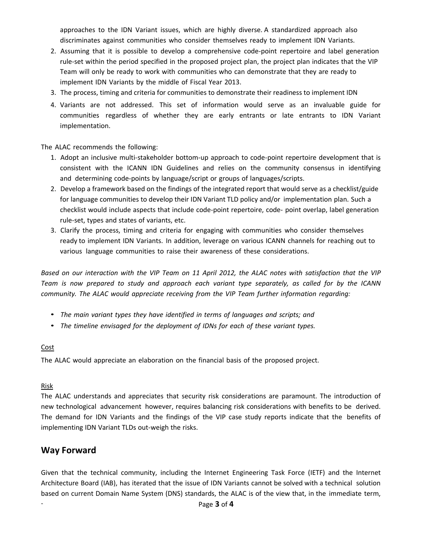approaches to the IDN Variant issues, which are highly diverse. A standardized approach also discriminates against communities who consider themselves ready to implement IDN Variants.

- 2. Assuming that it is possible to develop a comprehensive code-point repertoire and label generation rule-set within the period specified in the proposed project plan, the project plan indicates that the VIP Team will only be ready to work with communities who can demonstrate that they are ready to implement IDN Variants by the middle of Fiscal Year 2013.
- 3. The process, timing and criteria for communities to demonstrate their readiness to implement IDN
- 4. Variants are not addressed. This set of information would serve as an invaluable guide for communities regardless of whether they are early entrants or late entrants to IDN Variant implementation.

The ALAC recommends the following:

- 1. Adopt an inclusive multi-stakeholder bottom-up approach to code-point repertoire development that is consistent with the ICANN IDN Guidelines and relies on the community consensus in identifying and determining code-points by language/script or groups of languages/scripts.
- 2. Develop a framework based on the findings of the integrated report that would serve as a checklist/guide for language communities to develop their IDN Variant TLD policy and/or implementation plan. Such a checklist would include aspects that include code-point repertoire, code- point overlap, label generation rule-set, types and states of variants, etc.
- 3. Clarify the process, timing and criteria for engaging with communities who consider themselves ready to implement IDN Variants. In addition, leverage on various ICANN channels for reaching out to various language communities to raise their awareness of these considerations.

Based on our interaction with the VIP Team on 11 April 2012, the ALAC notes with satisfaction that the VIP Team is now prepared to study and approach each variant type separately, as called for by the ICANN *community. The ALAC would appreciate receiving from the VIP Team further information regarding:*

- *The main variant types they have identified in terms of languages and scripts; and*
- *The timeline envisaged for the deployment of IDNs for each of these variant types.*

#### **Cost**

The ALAC would appreciate an elaboration on the financial basis of the proposed project.

#### Risk

The ALAC understands and appreciates that security risk considerations are paramount. The introduction of new technological advancement however, requires balancing risk considerations with benefits to be derived. The demand for IDN Variants and the findings of the VIP case study reports indicate that the benefits of implementing IDN Variant TLDs out-weigh the risks.

### **Way Forward**

Given that the technical community, including the Internet Engineering Task Force (IETF) and the Internet Architecture Board (IAB), has iterated that the issue of IDN Variants cannot be solved with a technical solution based on current Domain Name System (DNS) standards, the ALAC is of the view that, in the immediate term,